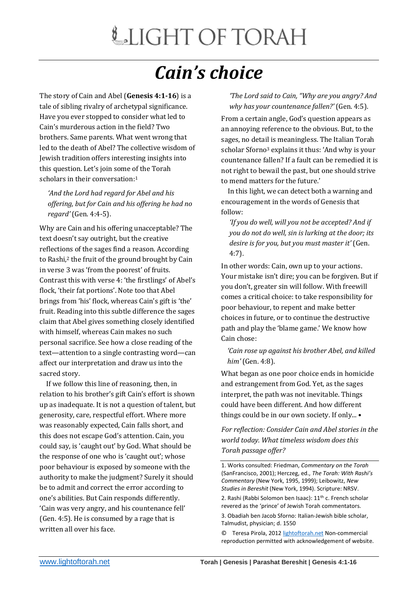## *Cain's choice*

The story of Cain and Abel (**Genesis 4:1-16**) is a tale of sibling rivalry of archetypal significance. Have you ever stopped to consider what led to Cain's murderous action in the field? Two brothers. Same parents. What went wrong that led to the death of Abel? The collective wisdom of Jewish tradition offers interesting insights into this question. Let's join some of the Torah scholars in their conversation:<sup>1</sup>

*'And the Lord had regard for Abel and his offering, but for Cain and his offering he had no regard'* (Gen. 4:4-5).

Why are Cain and his offering unacceptable? The text doesn't say outright, but the creative reflections of the sages find a reason. According to Rashi,<sup>2</sup> the fruit of the ground brought by Cain in verse 3 was 'from the poorest' of fruits. Contrast this with verse 4: 'the firstlings' of Abel's flock, 'their fat portions'. Note too that Abel brings from 'his' flock, whereas Cain's gift is 'the' fruit. Reading into this subtle difference the sages claim that Abel gives something closely identified with himself, whereas Cain makes no such personal sacrifice. See how a close reading of the text—attention to a single contrasting word—can affect our interpretation and draw us into the sacred story.

 If we follow this line of reasoning, then, in relation to his brother's gift Cain's effort is shown up as inadequate. It is not a question of talent, but generosity, care, respectful effort. Where more was reasonably expected, Cain falls short, and this does not escape God's attention. Cain, you could say, is 'caught out' by God. What should be the response of one who is 'caught out'; whose poor behaviour is exposed by someone with the authority to make the judgment? Surely it should be to admit and correct the error according to one's abilities. But Cain responds differently. 'Cain was very angry, and his countenance fell' (Gen. 4:5). He is consumed by a rage that is written all over his face.

*'The Lord said to Cain, "Why are you angry? And why has your countenance fallen?'* (Gen. 4:5).

From a certain angle, God's question appears as an annoying reference to the obvious. But, to the sages, no detail is meaningless. The Italian Torah scholar Sforno<sup>3</sup> explains it thus: 'And why is your countenance fallen? If a fault can be remedied it is not right to bewail the past, but one should strive to mend matters for the future.'

 In this light, we can detect both a warning and encouragement in the words of Genesis that follow:

*'If you do well, will you not be accepted? And if you do not do well, sin is lurking at the door; its desire is for you, but you must master it'* (Gen. 4:7).

In other words: Cain, own up to your actions. Your mistake isn't dire; you can be forgiven. But if you don't, greater sin will follow. With freewill comes a critical choice: to take responsibility for poor behaviour, to repent and make better choices in future, or to continue the destructive path and play the 'blame game.' We know how Cain chose:

*'Cain rose up against his brother Abel, and killed him'* (Gen. 4:8).

What began as one poor choice ends in homicide and estrangement from God. Yet, as the sages interpret, the path was not inevitable. Things could have been different. And how different things could be in our own society. If only... •

*For reflection: Consider Cain and Abel stories in the world today. What timeless wisdom does this Torah passage offer?*

1. Works consulted: Friedman, *Commentary on the Torah* (SanFrancisco, 2001); Herczeg, ed., *The Torah: With Rashi's Commentary* (New York, 1995, 1999); Leibowitz, *New Studies in Bereshit* (New York, 1994). Scripture: NRSV.

2. Rashi (Rabbi Solomon ben Isaac): 11<sup>th</sup> c. French scholar revered as the 'prince' of Jewish Torah commentators.

3. Obadiah ben Jacob Sforno: Italian-Jewish bible scholar, Talmudist, physician; d. 1550

© Teresa Pirola, 2012 [lightoftorah.net](http://www.lightoftorah.net/) Non-commercial reproduction permitted with acknowledgement of website.